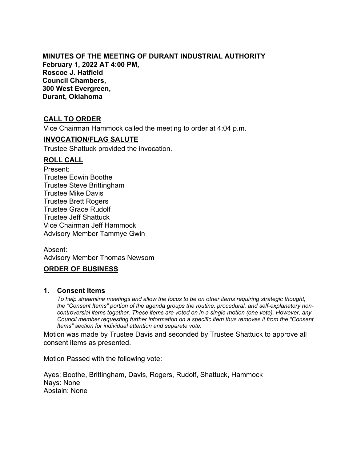### **MINUTES OF THE MEETING OF DURANT INDUSTRIAL AUTHORITY February 1, 2022 AT 4:00 PM, Roscoe J. Hatfield Council Chambers, 300 West Evergreen, Durant, Oklahoma**

## **CALL TO ORDER**

Vice Chairman Hammock called the meeting to order at 4:04 p.m.

#### **INVOCATION/FLAG SALUTE**

Trustee Shattuck provided the invocation.

### **ROLL CALL**

Present: Trustee Edwin Boothe Trustee Steve Brittingham Trustee Mike Davis Trustee Brett Rogers Trustee Grace Rudolf Trustee Jeff Shattuck Vice Chairman Jeff Hammock Advisory Member Tammye Gwin

Absent: Advisory Member Thomas Newsom

### **ORDER OF BUSINESS**

#### **1. Consent Items**

*To help streamline meetings and allow the focus to be on other items requiring strategic thought, the "Consent Items" portion of the agenda groups the routine, procedural, and self-explanatory noncontroversial items together. These items are voted on in a single motion (one vote). However, any Council member requesting further information on a specific item thus removes it from the "Consent Items" section for individual attention and separate vote.*

Motion was made by Trustee Davis and seconded by Trustee Shattuck to approve all consent items as presented.

Motion Passed with the following vote:

Ayes: Boothe, Brittingham, Davis, Rogers, Rudolf, Shattuck, Hammock Nays: None Abstain: None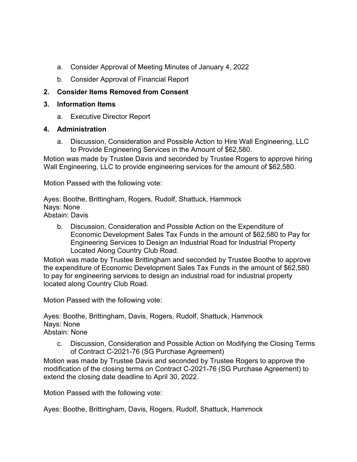- a. Consider Approval of Meeting Minutes of January 4, 2022
- b. Consider Approval of Financial Report

# **2. Consider Items Removed from Consent**

# **3. Information Items**

a. Executive Director Report

## **4. Administration**

a. Discussion, Consideration and Possible Action to Hire Wall Engineering, LLC to Provide Engineering Services in the Amount of \$62,580.

Motion was made by Trustee Davis and seconded by Trustee Rogers to approve hiring Wall Engineering, LLC to provide engineering services for the amount of \$62,580.

Motion Passed with the following vote:

Ayes: Boothe, Brittingham, Rogers, Rudolf, Shattuck, Hammock Nays: None Abstain: Davis

b. Discussion, Consideration and Possible Action on the Expenditure of Economic Development Sales Tax Funds in the amount of \$62,580 to Pay for Engineering Services to Design an Industrial Road for Industrial Property Located Along Country Club Road.

Motion was made by Trustee Brittingham and seconded by Trustee Boothe to approve the expenditure of Economic Development Sales Tax Funds in the amount of \$62,580 to pay for engineering services to design an industrial road for industrial property located along Country Club Road.

Motion Passed with the following vote:

Ayes: Boothe, Brittingham, Davis, Rogers, Rudolf, Shattuck, Hammock Nays: None Abstain: None

c. Discussion, Consideration and Possible Action on Modifying the Closing Terms of Contract C-2021-76 (SG Purchase Agreement)

Motion was made by Trustee Davis and seconded by Trustee Rogers to approve the modification of the closing terms on Contract C-2021-76 (SG Purchase Agreement) to extend the closing date deadline to April 30, 2022.

Motion Passed with the following vote:

Ayes: Boothe, Brittingham, Davis, Rogers, Rudolf, Shattuck, Hammock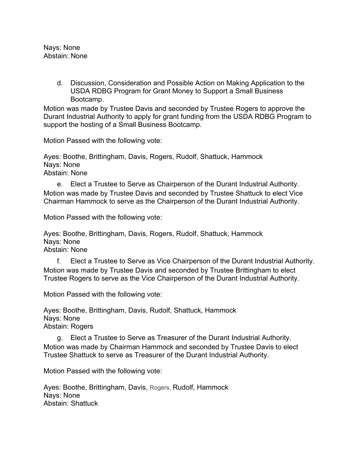Nays: None Abstain: None

> d. Discussion, Consideration and Possible Action on Making Application to the USDA RDBG Program for Grant Money to Support a Small Business Bootcamp.

Motion was made by Trustee Davis and seconded by Trustee Rogers to approve the Durant Industrial Authority to apply for grant funding from the USDA RDBG Program to support the hosting of a Small Business Bootcamp.

Motion Passed with the following vote:

Ayes: Boothe, Brittingham, Davis, Rogers, Rudolf, Shattuck, Hammock Nays: None Abstain: None

e. Elect a Trustee to Serve as Chairperson of the Durant Industrial Authority. Motion was made by Trustee Davis and seconded by Trustee Shattuck to elect Vice Chairman Hammock to serve as the Chairperson of the Durant Industrial Authority.

Motion Passed with the following vote:

Ayes: Boothe, Brittingham, Davis, Rogers, Rudolf, Shattuck, Hammock Nays: None Abstain: None

f. Elect a Trustee to Serve as Vice Chairperson of the Durant Industrial Authority. Motion was made by Trustee Davis and seconded by Trustee Brittingham to elect Trustee Rogers to serve as the Vice Chairperson of the Durant Industrial Authority.

Motion Passed with the following vote:

Ayes: Boothe, Brittingham, Davis, Rudolf, Shattuck, Hammock Nays: None Abstain: Rogers

g. Elect a Trustee to Serve as Treasurer of the Durant Industrial Authority. Motion was made by Chairman Hammock and seconded by Trustee Davis to elect Trustee Shattuck to serve as Treasurer of the Durant Industrial Authority.

Motion Passed with the following vote:

Ayes: Boothe, Brittingham, Davis, Rogers, Rudolf, Hammock Nays: None Abstain: Shattuck